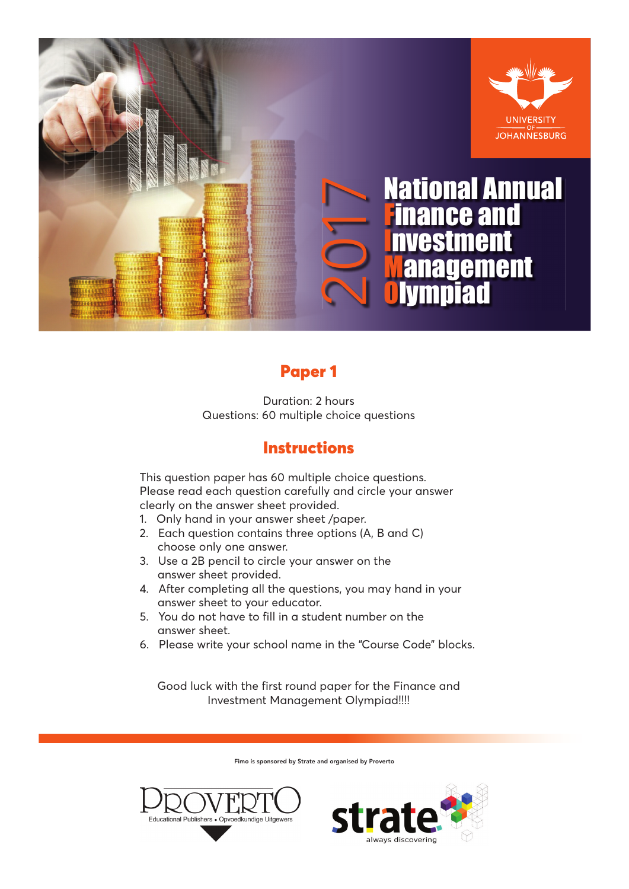

## Paper 1

Duration: 2 hours Questions: 60 multiple choice questions

## **Instructions**

This question paper has 60 multiple choice questions. Please read each question carefully and circle your answer clearly on the answer sheet provided.

- 1. Only hand in your answer sheet /paper.
- 2. Each question contains three options (A, B and C) choose only one answer.
- 3. Use a 2B pencil to circle your answer on the answer sheet provided.
- 4. After completing all the questions, you may hand in your answer sheet to your educator.
- 5. You do not have to fill in a student number on the answer sheet.
- 6. Please write your school name in the "Course Code" blocks.

Good luck with the first round paper for the Finance and Investment Management Olympiad!!!!

Fimo is sponsored by Strate and organised by Proverto



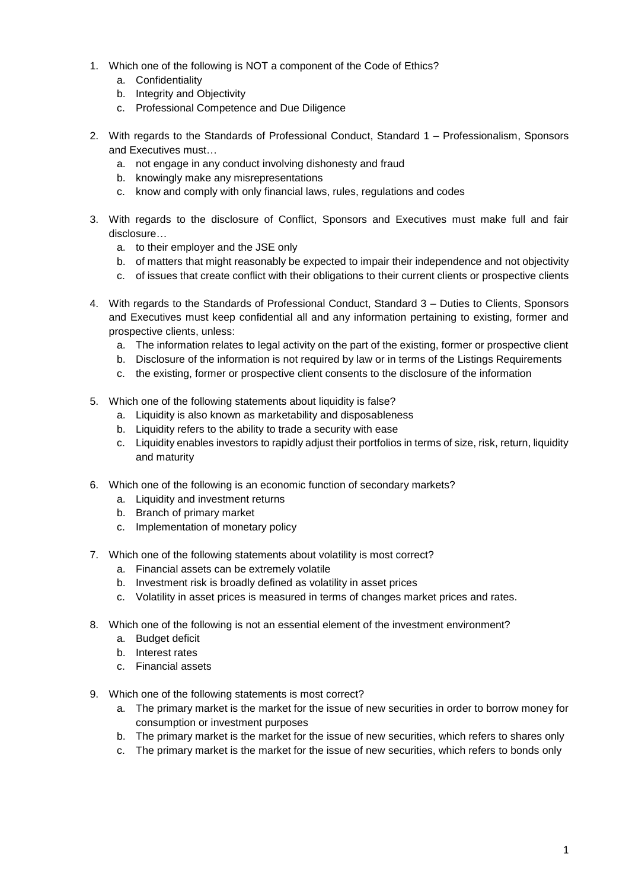- 1. Which one of the following is NOT a component of the Code of Ethics?
	- a. Confidentiality
	- b. Integrity and Objectivity
	- c. Professional Competence and Due Diligence
- 2. With regards to the Standards of Professional Conduct, Standard 1 Professionalism, Sponsors and Executives must…
	- a. not engage in any conduct involving dishonesty and fraud
	- b. knowingly make any misrepresentations
	- c. know and comply with only financial laws, rules, regulations and codes
- 3. With regards to the disclosure of Conflict, Sponsors and Executives must make full and fair disclosure…
	- a. to their employer and the JSE only
	- b. of matters that might reasonably be expected to impair their independence and not objectivity
	- c. of issues that create conflict with their obligations to their current clients or prospective clients
- 4. With regards to the Standards of Professional Conduct, Standard 3 Duties to Clients, Sponsors and Executives must keep confidential all and any information pertaining to existing, former and prospective clients, unless:
	- a. The information relates to legal activity on the part of the existing, former or prospective client
	- b. Disclosure of the information is not required by law or in terms of the Listings Requirements
	- c. the existing, former or prospective client consents to the disclosure of the information
- 5. Which one of the following statements about liquidity is false?
	- a. Liquidity is also known as marketability and disposableness
	- b. Liquidity refers to the ability to trade a security with ease
	- c. Liquidity enables investors to rapidly adjust their portfolios in terms of size, risk, return, liquidity and maturity
- 6. Which one of the following is an economic function of secondary markets?
	- a. Liquidity and investment returns
	- b. Branch of primary market
	- c. Implementation of monetary policy
- 7. Which one of the following statements about volatility is most correct?
	- a. Financial assets can be extremely volatile
	- b. Investment risk is broadly defined as volatility in asset prices
	- c. Volatility in asset prices is measured in terms of changes market prices and rates.
- 8. Which one of the following is not an essential element of the investment environment?
	- a. Budget deficit
	- b. Interest rates
	- c. Financial assets
- 9. Which one of the following statements is most correct?
	- a. The primary market is the market for the issue of new securities in order to borrow money for consumption or investment purposes
	- b. The primary market is the market for the issue of new securities, which refers to shares only
	- c. The primary market is the market for the issue of new securities, which refers to bonds only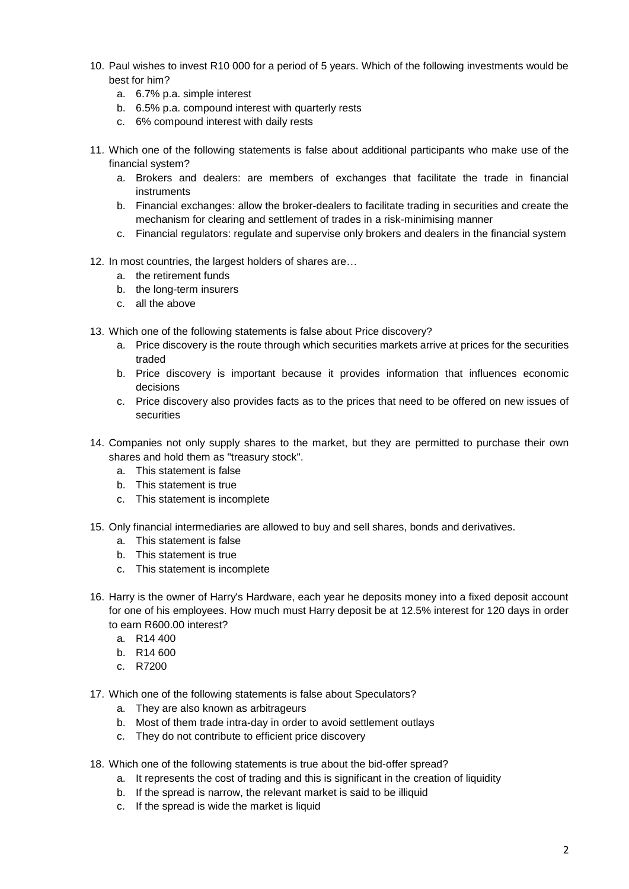- 10. Paul wishes to invest R10 000 for a period of 5 years. Which of the following investments would be best for him?
	- a. 6.7% p.a. simple interest
	- b. 6.5% p.a. compound interest with quarterly rests
	- c. 6% compound interest with daily rests
- 11. Which one of the following statements is false about additional participants who make use of the financial system?
	- a. Brokers and dealers: are members of exchanges that facilitate the trade in financial instruments
	- b. Financial exchanges: allow the broker-dealers to facilitate trading in securities and create the mechanism for clearing and settlement of trades in a risk-minimising manner
	- c. Financial regulators: regulate and supervise only brokers and dealers in the financial system
- 12. In most countries, the largest holders of shares are…
	- a. the retirement funds
	- b. the long-term insurers
	- c. all the above
- 13. Which one of the following statements is false about Price discovery?
	- a. Price discovery is the route through which securities markets arrive at prices for the securities traded
	- b. Price discovery is important because it provides information that influences economic decisions
	- c. Price discovery also provides facts as to the prices that need to be offered on new issues of securities
- 14. Companies not only supply shares to the market, but they are permitted to purchase their own shares and hold them as "treasury stock".
	- a. This statement is false
	- b. This statement is true
	- c. This statement is incomplete
- 15. Only financial intermediaries are allowed to buy and sell shares, bonds and derivatives.
	- a. This statement is false
	- b. This statement is true
	- c. This statement is incomplete
- 16. Harry is the owner of Harry's Hardware, each year he deposits money into a fixed deposit account for one of his employees. How much must Harry deposit be at 12.5% interest for 120 days in order to earn R600.00 interest?
	- a. R14 400
	- b. R14 600
	- c. R7200
- 17. Which one of the following statements is false about Speculators?
	- a. They are also known as arbitrageurs
	- b. Most of them trade intra-day in order to avoid settlement outlays
	- c. They do not contribute to efficient price discovery
- 18. Which one of the following statements is true about the bid-offer spread?
	- a. It represents the cost of trading and this is significant in the creation of liquidity
	- b. If the spread is narrow, the relevant market is said to be illiquid
	- c. If the spread is wide the market is liquid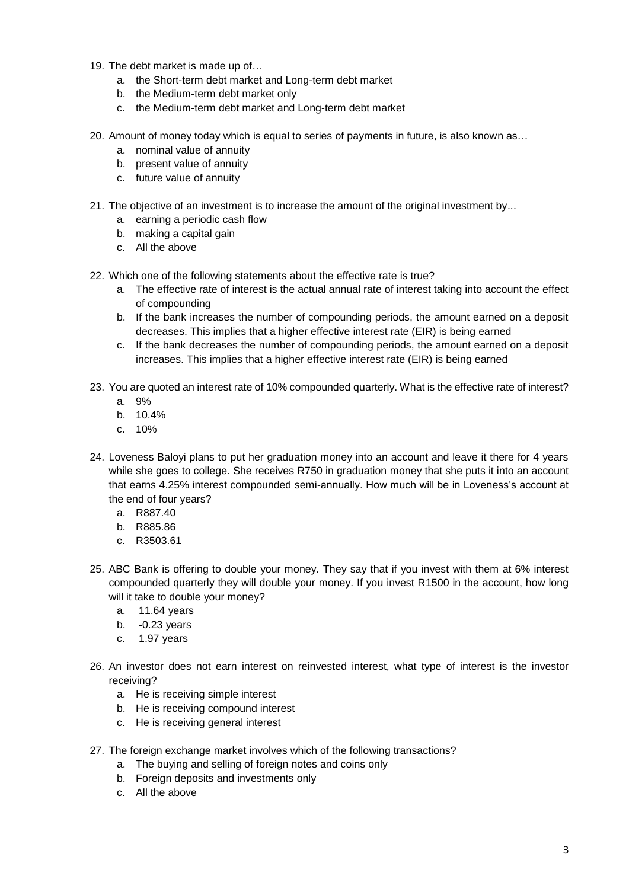- 19. The debt market is made up of…
	- a. the Short-term debt market and Long-term debt market
	- b. the Medium-term debt market only
	- c. the Medium-term debt market and Long-term debt market
- 20. Amount of money today which is equal to series of payments in future, is also known as…
	- a. nominal value of annuity
	- b. present value of annuity
	- c. future value of annuity
- 21. The objective of an investment is to increase the amount of the original investment by...
	- a. earning a periodic cash flow
	- b. making a capital gain
	- c. All the above
- 22. Which one of the following statements about the effective rate is true?
	- a. The effective rate of interest is the actual annual rate of interest taking into account the effect of compounding
	- b. If the bank increases the number of compounding periods, the amount earned on a deposit decreases. This implies that a higher effective interest rate (EIR) is being earned
	- c. If the bank decreases the number of compounding periods, the amount earned on a deposit increases. This implies that a higher effective interest rate (EIR) is being earned
- 23. You are quoted an interest rate of 10% compounded quarterly. What is the effective rate of interest?
	- a. 9%
	- b. 10.4%
	- c. 10%
- 24. Loveness Baloyi plans to put her graduation money into an account and leave it there for 4 years while she goes to college. She receives R750 in graduation money that she puts it into an account that earns 4.25% interest compounded semi-annually. How much will be in Loveness's account at the end of four years?
	- a. R887.40
	- b. R885.86
	- c. R3503.61
- 25. ABC Bank is offering to double your money. They say that if you invest with them at 6% interest compounded quarterly they will double your money. If you invest R1500 in the account, how long will it take to double your money?
	- a. 11.64 years
	- b. -0.23 years
	- c. 1.97 years
- 26. An investor does not earn interest on reinvested interest, what type of interest is the investor receiving?
	- a. He is receiving simple interest
	- b. He is receiving compound interest
	- c. He is receiving general interest
- 27. The foreign exchange market involves which of the following transactions?
	- a. The buying and selling of foreign notes and coins only
	- b. Foreign deposits and investments only
	- c. All the above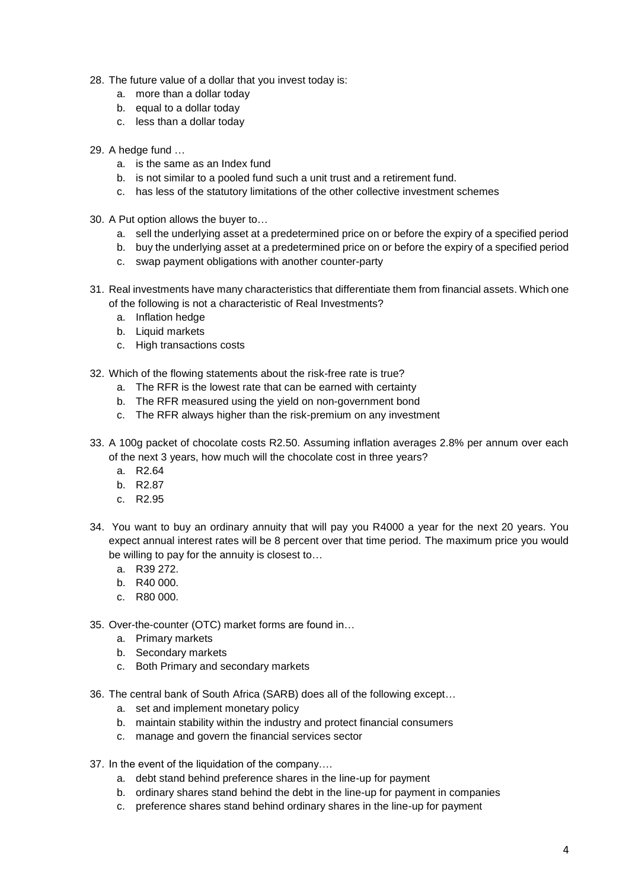- 28. The future value of a dollar that you invest today is:
	- a. more than a dollar today
	- b. equal to a dollar today
	- c. less than a dollar today
- 29. A hedge fund …
	- a. is the same as an Index fund
	- b. is not similar to a pooled fund such a unit trust and a retirement fund.
	- c. has less of the statutory limitations of the other collective investment schemes
- 30. A Put option allows the buyer to…
	- a. sell the underlying asset at a predetermined price on or before the expiry of a specified period
	- b. buy the underlying asset at a predetermined price on or before the expiry of a specified period
	- c. swap payment obligations with another counter-party
- 31. Real investments have many characteristics that differentiate them from financial assets. Which one of the following is not a characteristic of Real Investments?
	- a. Inflation hedge
	- b. Liquid markets
	- c. High transactions costs
- 32. Which of the flowing statements about the risk-free rate is true?
	- a. The RFR is the lowest rate that can be earned with certainty
	- b. The RFR measured using the yield on non-government bond
	- c. The RFR always higher than the risk-premium on any investment
- 33. A 100g packet of chocolate costs R2.50. Assuming inflation averages 2.8% per annum over each of the next 3 years, how much will the chocolate cost in three years?
	- a. R2.64
	- b. R2.87
	- c. R2.95
- 34. You want to buy an ordinary annuity that will pay you R4000 a year for the next 20 years. You expect annual interest rates will be 8 percent over that time period. The maximum price you would be willing to pay for the annuity is closest to…
	- a. R39 272.
	- b. R40 000.
	- c. R80 000.
- 35. Over-the-counter (OTC) market forms are found in…
	- a. Primary markets
	- b. Secondary markets
	- c. Both Primary and secondary markets
- 36. The central bank of South Africa (SARB) does all of the following except…
	- a. set and implement monetary policy
	- b. maintain stability within the industry and protect financial consumers
	- c. manage and govern the financial services sector
- 37. In the event of the liquidation of the company….
	- a. debt stand behind preference shares in the line-up for payment
	- b. ordinary shares stand behind the debt in the line-up for payment in companies
	- c. preference shares stand behind ordinary shares in the line-up for payment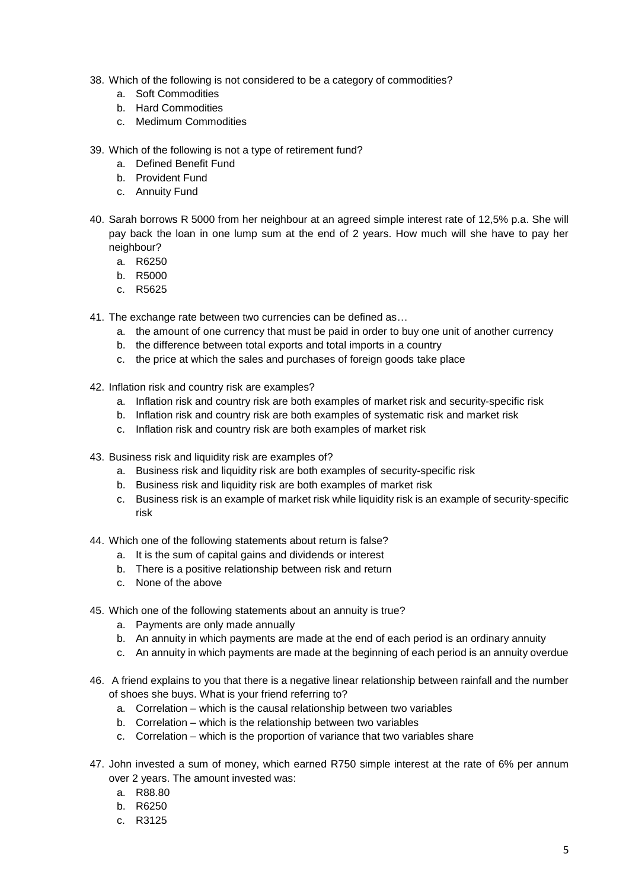- 38. Which of the following is not considered to be a category of commodities?
	- a. Soft Commodities
	- b. Hard Commodities
	- c. Medimum Commodities
- 39. Which of the following is not a type of retirement fund?
	- a. Defined Benefit Fund
	- b. Provident Fund
	- c. Annuity Fund
- 40. Sarah borrows R 5000 from her neighbour at an agreed simple interest rate of 12,5% p.a. She will pay back the loan in one lump sum at the end of 2 years. How much will she have to pay her neighbour?
	- a. R6250
	- b. R5000
	- c. R5625
- 41. The exchange rate between two currencies can be defined as…
	- a. the amount of one currency that must be paid in order to buy one unit of another currency
	- b. the difference between total exports and total imports in a country
	- c. the price at which the sales and purchases of foreign goods take place
- 42. Inflation risk and country risk are examples?
	- a. Inflation risk and country risk are both examples of market risk and security-specific risk
	- b. Inflation risk and country risk are both examples of systematic risk and market risk
	- c. Inflation risk and country risk are both examples of market risk
- 43. Business risk and liquidity risk are examples of?
	- a. Business risk and liquidity risk are both examples of security-specific risk
	- b. Business risk and liquidity risk are both examples of market risk
	- c. Business risk is an example of market risk while liquidity risk is an example of security-specific risk
- 44. Which one of the following statements about return is false?
	- a. It is the sum of capital gains and dividends or interest
	- b. There is a positive relationship between risk and return
	- c. None of the above
- 45. Which one of the following statements about an annuity is true?
	- a. Payments are only made annually
	- b. An annuity in which payments are made at the end of each period is an ordinary annuity
	- c. An annuity in which payments are made at the beginning of each period is an annuity overdue
- 46. A friend explains to you that there is a negative linear relationship between rainfall and the number of shoes she buys. What is your friend referring to?
	- a. Correlation which is the causal relationship between two variables
	- b. Correlation which is the relationship between two variables
	- c. Correlation which is the proportion of variance that two variables share
- 47. John invested a sum of money, which earned R750 simple interest at the rate of 6% per annum over 2 years. The amount invested was:
	- a. R88.80
	- b. R6250
	- c. R3125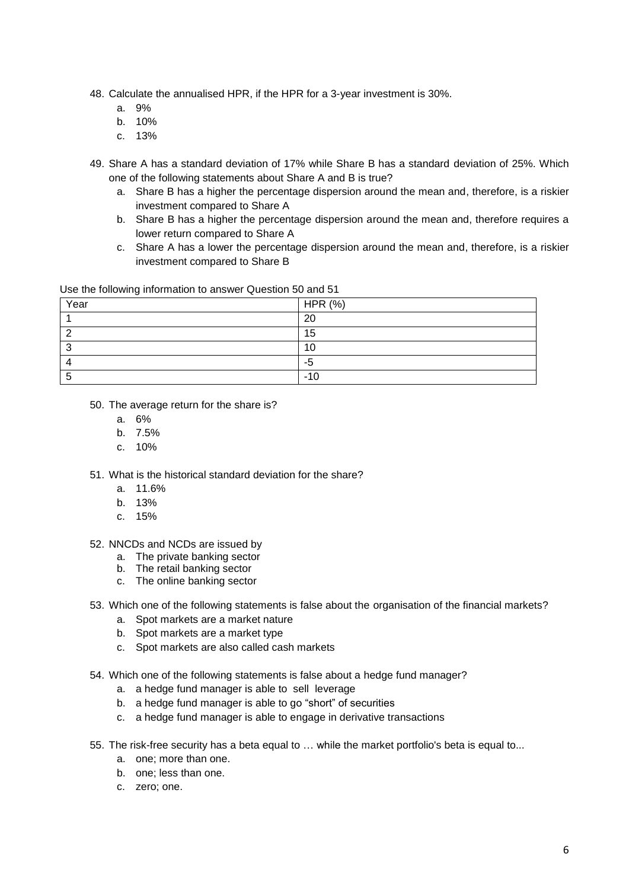- 48. Calculate the annualised HPR, if the HPR for a 3-year investment is 30%.
	- a. 9%
	- b. 10%
	- c. 13%
- 49. Share A has a standard deviation of 17% while Share B has a standard deviation of 25%. Which one of the following statements about Share A and B is true?
	- a. Share B has a higher the percentage dispersion around the mean and, therefore, is a riskier investment compared to Share A
	- b. Share B has a higher the percentage dispersion around the mean and, therefore requires a lower return compared to Share A
	- c. Share A has a lower the percentage dispersion around the mean and, therefore, is a riskier investment compared to Share B

Use the following information to answer Question 50 and 51

| Year | HPR (%) |
|------|---------|
|      | 20      |
|      | 15      |
| ⌒    | 10      |
|      | -5      |
| ∽    | -10     |

- 50. The average return for the share is?
	- a. 6%
	- b. 7.5%
	- c. 10%
- 51. What is the historical standard deviation for the share?
	- a. 11.6%
	- b. 13%
	- c. 15%

52. NNCDs and NCDs are issued by

- a. The private banking sector
- b. The retail banking sector
- c. The online banking sector
- 53. Which one of the following statements is false about the organisation of the financial markets?
	- a. Spot markets are a market nature
	- b. Spot markets are a market type
	- c. Spot markets are also called cash markets
- 54. Which one of the following statements is false about a hedge fund manager?
	- a. a hedge fund manager is able to sell leverage
	- b. a hedge fund manager is able to go "short" of securities
	- c. a hedge fund manager is able to engage in derivative transactions
- 55. The risk-free security has a beta equal to … while the market portfolio's beta is equal to...
	- a. one; more than one.
	- b. one; less than one.
	- c. zero; one.